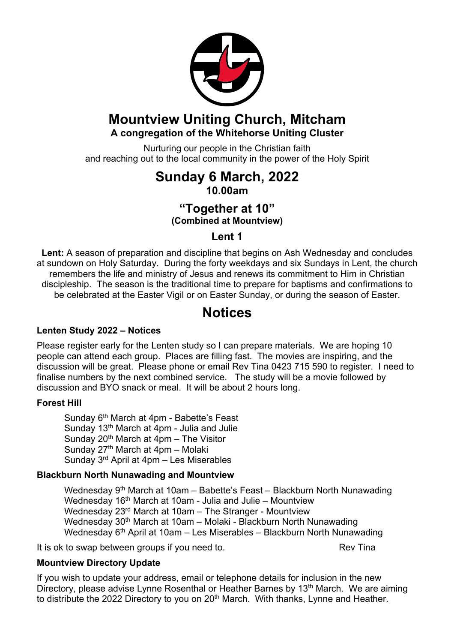

## **Mountview Uniting Church, Mitcham A congregation of the Whitehorse Uniting Cluster**

Nurturing our people in the Christian faith and reaching out to the local community in the power of the Holy Spirit

## **Sunday 6 March, 2022 10.00am**

### **"Together at 10" (Combined at Mountview)**

### **Lent 1**

**Lent:** A season of preparation and discipline that begins on Ash Wednesday and concludes at sundown on Holy Saturday. During the forty weekdays and six Sundays in Lent, the church remembers the life and ministry of Jesus and renews its commitment to Him in Christian discipleship. The season is the traditional time to prepare for baptisms and confirmations to be celebrated at the Easter Vigil or on Easter Sunday, or during the season of Easter.

## **Notices**

#### **Lenten Study 2022 – Notices**

Please register early for the Lenten study so I can prepare materials. We are hoping 10 people can attend each group. Places are filling fast. The movies are inspiring, and the discussion will be great. Please phone or email Rev Tina 0423 715 590 to register. I need to finalise numbers by the next combined service. The study will be a movie followed by discussion and BYO snack or meal. It will be about 2 hours long.

#### **Forest Hill**

Sunday 6<sup>th</sup> March at 4pm - Babette's Feast Sunday 13<sup>th</sup> March at 4pm - Julia and Julie Sunday 20<sup>th</sup> March at  $4$ pm – The Visitor Sunday  $27<sup>th</sup>$  March at 4pm – Molaki Sunday 3rd April at 4pm – Les Miserables

#### **Blackburn North Nunawading and Mountview**

Wednesday 9<sup>th</sup> March at 10am – Babette's Feast – Blackburn North Nunawading Wednesday 16th March at 10am - Julia and Julie – Mountview Wednesday 23rd March at 10am – The Stranger - Mountview Wednesday 30<sup>th</sup> March at 10am – Molaki - Blackburn North Nunawading Wednesday  $6<sup>th</sup>$  April at 10am – Les Miserables – Blackburn North Nunawading

It is ok to swap between groups if you need to. The Rev Tina

#### **Mountview Directory Update**

If you wish to update your address, email or telephone details for inclusion in the new Directory, please advise Lynne Rosenthal or Heather Barnes by 13<sup>th</sup> March. We are aiming to distribute the 2022 Directory to you on 20<sup>th</sup> March. With thanks, Lynne and Heather.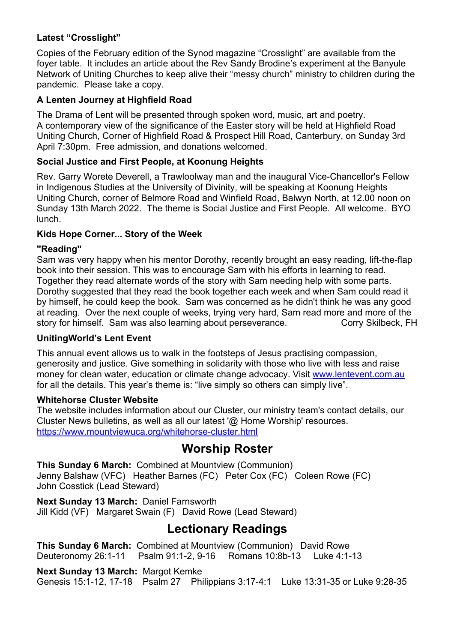#### **Latest "Crosslight"**

Copies of the February edition of the Synod magazine "Crosslight" are available from the foyer table. It includes an article about the Rev Sandy Brodine's experiment at the Banyule Network of Uniting Churches to keep alive their "messy church" ministry to children during the pandemic. Please take a copy.

#### **A Lenten Journey at Highfield Road**

The Drama of Lent will be presented through spoken word, music, art and poetry. A contemporary view of the significance of the Easter story will be held at Highfield Road Uniting Church, Corner of Highfield Road & Prospect Hill Road, Canterbury, on Sunday 3rd April 7:30pm. Free admission, and donations welcomed.

#### **Social Justice and First People, at Koonung Heights**

Rev. Garry Worete Deverell, a Trawloolway man and the inaugural Vice-Chancellor's Fellow in Indigenous Studies at the University of Divinity, will be speaking at Koonung Heights Uniting Church, corner of Belmore Road and Winfield Road, Balwyn North, at 12.00 noon on Sunday 13th March 2022. The theme is Social Justice and First People. All welcome. BYO lunch.

#### **Kids Hope Corner... Story of the Week**

#### **"Reading"**

Sam was very happy when his mentor Dorothy, recently brought an easy reading, lift-the-flap book into their session. This was to encourage Sam with his efforts in learning to read. Together they read alternate words of the story with Sam needing help with some parts. Dorothy suggested that they read the book together each week and when Sam could read it by himself, he could keep the book. Sam was concerned as he didn't think he was any good at reading. Over the next couple of weeks, trying very hard, Sam read more and more of the story for himself. Sam was also learning about perseverance. Corry Skilbeck, FH

#### **UnitingWorld's Lent Event**

This annual event allows us to walk in the footsteps of Jesus practising compassion, generosity and justice. Give something in solidarity with those who live with less and raise money for clean water, education or climate change advocacy. Visit www.lentevent.com.au for all the details. This year's theme is: "live simply so others can simply live".

#### **Whitehorse Cluster Website**

The website includes information about our Cluster, our ministry team's contact details, our Cluster News bulletins, as well as all our latest '@ Home Worship' resources. https://www.mountviewuca.org/whitehorse-cluster.html

### **Worship Roster**

**This Sunday 6 March:** Combined at Mountview (Communion) Jenny Balshaw (VFC) Heather Barnes (FC) Peter Cox (FC) Coleen Rowe (FC) John Cosstick (Lead Steward)

**Next Sunday 13 March:** Daniel Farnsworth Jill Kidd (VF) Margaret Swain (F) David Rowe (Lead Steward)

## **Lectionary Readings**

**This Sunday 6 March:** Combined at Mountview (Communion) David Rowe Deuteronomy 26:1-11 Psalm 91:1-2, 9-16 Romans 10:8b-13 Luke 4:1-13

**Next Sunday 13 March:** Margot Kemke

Genesis 15:1-12, 17-18 Psalm 27 Philippians 3:17-4:1 Luke 13:31-35 or Luke 9:28-35